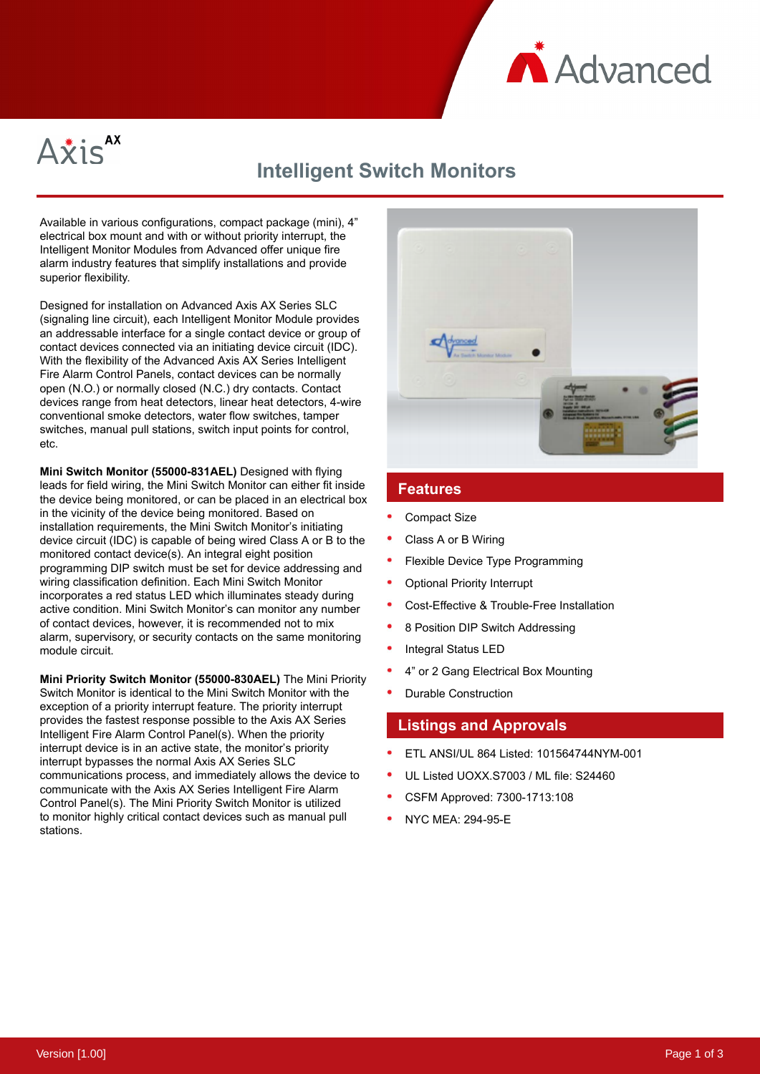



## **Intelligent Switch Monitors**

Available in various configurations, compact package (mini), 4" electrical box mount and with or without priority interrupt, the Intelligent Monitor Modules from Advanced offer unique fire alarm industry features that simplify installations and provide superior flexibility.

Designed for installation on Advanced Axis AX Series SLC (signaling line circuit), each Intelligent Monitor Module provides an addressable interface for a single contact device or group of contact devices connected via an initiating device circuit (IDC). With the flexibility of the Advanced Axis AX Series Intelligent Fire Alarm Control Panels, contact devices can be normally open (N.O.) or normally closed (N.C.) dry contacts. Contact devices range from heat detectors, linear heat detectors, 4-wire conventional smoke detectors, water flow switches, tamper switches, manual pull stations, switch input points for control, etc.

**Mini Switch Monitor (55000-831AEL)** Designed with flying leads for field wiring, the Mini Switch Monitor can either fit inside the device being monitored, or can be placed in an electrical box in the vicinity of the device being monitored. Based on installation requirements, the Mini Switch Monitor's initiating device circuit (IDC) is capable of being wired Class A or B to the monitored contact device(s). An integral eight position programming DIP switch must be set for device addressing and wiring classification definition. Each Mini Switch Monitor incorporates a red status LED which illuminates steady during active condition. Mini Switch Monitor's can monitor any number of contact devices, however, it is recommended not to mix alarm, supervisory, or security contacts on the same monitoring module circuit.

**Mini Priority Switch Monitor (55000-830AEL)** The Mini Priority Switch Monitor is identical to the Mini Switch Monitor with the exception of a priority interrupt feature. The priority interrupt provides the fastest response possible to the Axis AX Series Intelligent Fire Alarm Control Panel(s). When the priority interrupt device is in an active state, the monitor's priority interrupt bypasses the normal Axis AX Series SLC communications process, and immediately allows the device to communicate with the Axis AX Series Intelligent Fire Alarm Control Panel(s). The Mini Priority Switch Monitor is utilized to monitor highly critical contact devices such as manual pull stations.



## **Features**

- Compact Size
- Class A or B Wiring
- Flexible Device Type Programming
- Optional Priority Interrupt
- Cost-Effective & Trouble-Free Installation
- 8 Position DIP Switch Addressing
- Integral Status LED
- 4" or 2 Gang Electrical Box Mounting
- Durable Construction

## **Listings and Approvals**

- ETL ANSI/UL 864 Listed: 101564744NYM-001
- UL Listed UOXX.S7003 / ML file: S24460
- CSFM Approved: 7300-1713:108
- NYC MEA: 294-95-E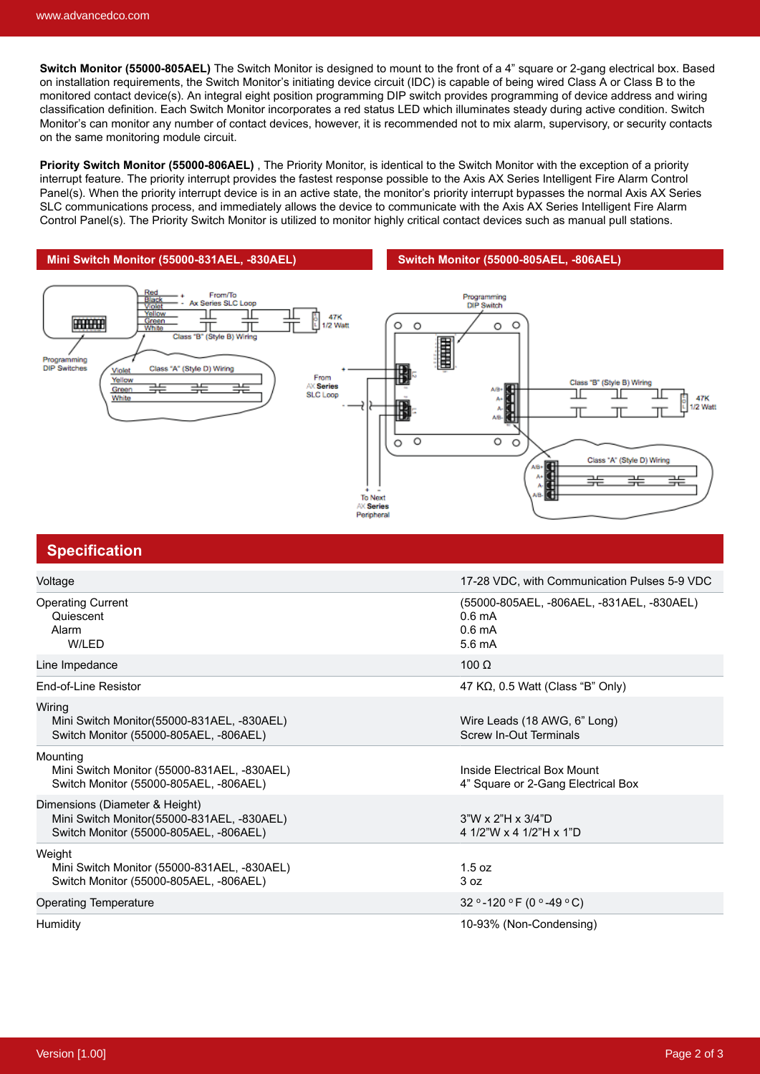**Switch Monitor (55000-805AEL)** The Switch Monitor is designed to mount to the front of a 4" square or 2-gang electrical box. Based on installation requirements, the Switch Monitor's initiating device circuit (IDC) is capable of being wired Class A or Class B to the monitored contact device(s). An integral eight position programming DIP switch provides programming of device address and wiring classification definition. Each Switch Monitor incorporates a red status LED which illuminates steady during active condition. Switch Monitor's can monitor any number of contact devices, however, it is recommended not to mix alarm, supervisory, or security contacts on the same monitoring module circuit.

**Priority Switch Monitor (55000-806AEL)** , The Priority Monitor, is identical to the Switch Monitor with the exception of a priority interrupt feature. The priority interrupt provides the fastest response possible to the Axis AX Series Intelligent Fire Alarm Control Panel(s). When the priority interrupt device is in an active state, the monitor's priority interrupt bypasses the normal Axis AX Series SLC communications process, and immediately allows the device to communicate with the Axis AX Series Intelligent Fire Alarm Control Panel(s). The Priority Switch Monitor is utilized to monitor highly critical contact devices such as manual pull stations.

**Mini Switch Monitor (55000-831AEL, -830AEL) Switch Monitor (55000-805AEL, -806AEL)**



| <b>Specification</b>                                                                                                   |                                                                                                       |
|------------------------------------------------------------------------------------------------------------------------|-------------------------------------------------------------------------------------------------------|
| Voltage                                                                                                                | 17-28 VDC, with Communication Pulses 5-9 VDC                                                          |
| <b>Operating Current</b><br>Quiescent<br>Alarm<br>W/LED                                                                | (55000-805AEL, -806AEL, -831AEL, -830AEL)<br>$0.6 \text{ mA}$<br>$0.6 \text{ mA}$<br>$5.6 \text{ mA}$ |
| Line Impedance                                                                                                         | 100 $\Omega$                                                                                          |
| End-of-Line Resistor                                                                                                   | 47 K $\Omega$ , 0.5 Watt (Class "B" Only)                                                             |
| Wiring<br>Mini Switch Monitor(55000-831AEL, -830AEL)<br>Switch Monitor (55000-805AEL, -806AEL)                         | Wire Leads (18 AWG, 6" Long)<br><b>Screw In-Out Terminals</b>                                         |
| Mounting<br>Mini Switch Monitor (55000-831AEL, -830AEL)<br>Switch Monitor (55000-805AEL, -806AEL)                      | Inside Electrical Box Mount<br>4" Square or 2-Gang Electrical Box                                     |
| Dimensions (Diameter & Height)<br>Mini Switch Monitor(55000-831AEL, -830AEL)<br>Switch Monitor (55000-805AEL, -806AEL) | $3"W \times 2"H \times 3/4"D$<br>4 1/2"W x 4 1/2"H x 1"D                                              |
| Weight<br>Mini Switch Monitor (55000-831AEL, -830AEL)<br>Switch Monitor (55000-805AEL, -806AEL)                        | 1.5 oz<br>3 oz                                                                                        |
| Operating Temperature                                                                                                  | 32 ° -120 ° F (0 ° -49 ° C)                                                                           |
| Humidity                                                                                                               | 10-93% (Non-Condensing)                                                                               |